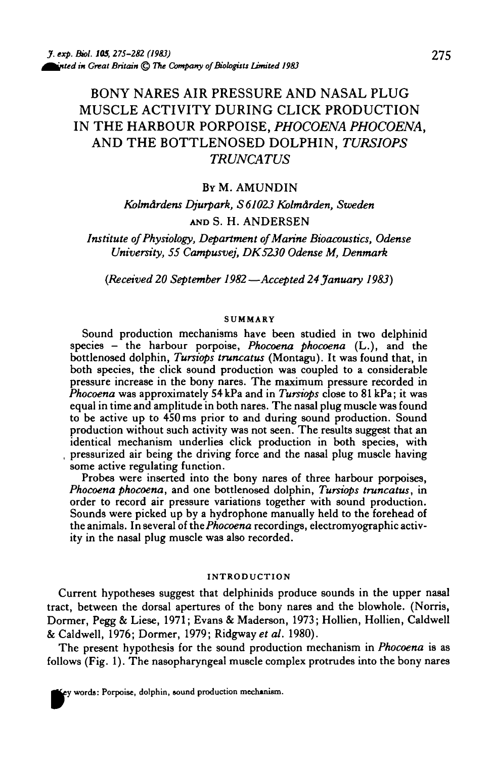# BONY NARES AIR PRESSURE AND NASAL PLUG MUSCLE ACTIVITY DURING CLICK PRODUCTION IN THE HARBOUR PORPOISE, *PHOCOENA PHOCOENA,* AND THE BOTTLENOSED DOLPHIN, *TURSIOPS TRUNCATUS*

## By M. AMUNDIN

*Kolm&rdens Djurpark, S 61023 Kolm&rden, Sweden* AND S. H. ANDERSEN

*Institute of Physiology, Department of Marine Bioacoustics, Odense University, 55 Campusvej, DK5230 Odense M, Denmark*

*{Received 20 September 1982—Accepted 24 January 1983)*

#### **SUMMARY**

Sound production mechanisms have been studied in two delphinid species - the harbour porpoise, *Phocoena phocoena* (L.), and the bottlenosed dolphin, *Tursiops truncatus* (Montagu). It was found that, in both species, the click sound production was coupled to a considerable pressure increase in the bony nares. The maximum pressure recorded in *Phocoena* was approximately 54kPa and in *Tursiops* close to 81 kPa; it was equal in time and amplitude in both nares. The nasal plug muscle was found to be active up to 450 ms prior to and during sound production. Sound production without such activity was not seen. The results suggest that an identical mechanism underlies click production in both species, with pressurized air being the driving force and the nasal plug muscle having some active regulating function.

Probes were inserted into the bony nares of three harbour porpoises, *Phocoena phocoena,* and one bottlenosed dolphin, *Tursiops truncatus,* in Sounds were picked up by a hydrophone manually held to the forehead of the animals. In several of the *Phocoena* recordings, electromyographic activ- ity in the nasal plug muscle was also recorded.

#### **INTRODUCTION**

Current hypotheses suggest that delphinids produce sounds in the upper nasal tract, between the dorsal apertures of the bony nares and the blowhole. (Norris, Dormer, Pegg & Liese, 1971; Evan9 & Maderson, 1973; Hollien, Hollien, Caldwell &Caldwell, 1976; Dormer, 1979; Ridgwayef *al.* 1980).

The present hypothesis for the sound production mechanism in *Phocoena* is as follows (Fig. 1). The nasopharyngeal muscle complex protrudes into the bony nares

*'* **words: Porpoise, dolphin, sound production mechwism.**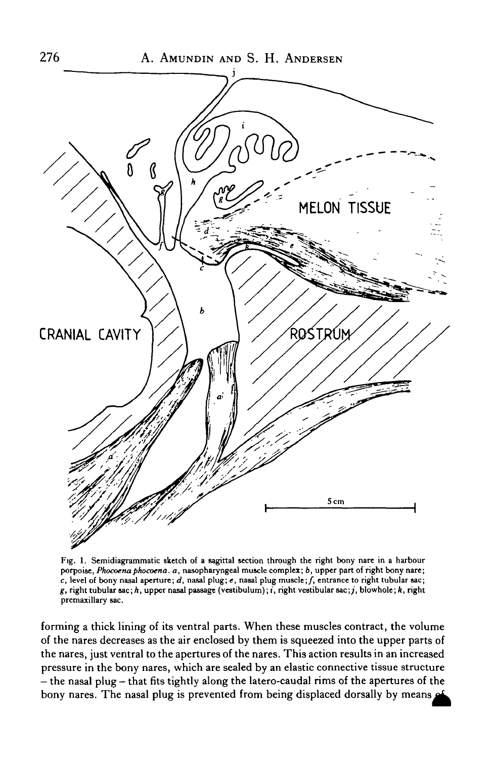

Fig. 1. Semidiagrammatic sketch of a sagittal section through the right bony nare in a harbour porpoise, Phocoena phocoena. a, nasopharyngeal muscle complex; b, upper part of right bony nare; *c,* level of bony nasal aperture; *d,* nasal plug; e, nasal plug muscle;/, entrance to right tubular sac;  $g$ , right tubular sac;  $h$ , upper nasal passage (vestibulum);  $i$ , right vestibular sac;  $j$ , blowhole;  $k$ , right premaxillary sac.

forming a thick lining of its ventral parts. When these muscles contract, the volume of the nares decreases as the air enclosed by them is squeezed into the upper parts of the nares, just ventral to the apertures of the nares. This action results in an increased pressure in the bony nares, which are sealed by an elastic connective tissue structure - the nasal plug - that fits tightly along the latero-caudal rims of the apertures of the bony nares. The nasal plug is prevented from being displaced dorsally by means of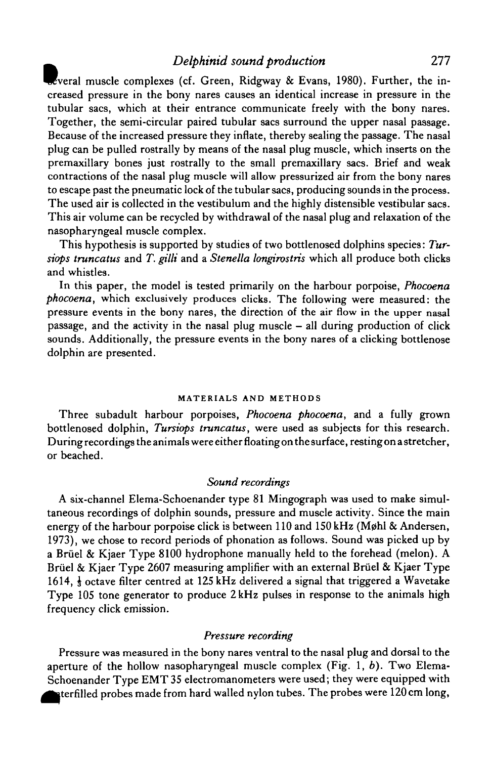## ^ *Delphinid sound production* 277

Everal muscle complexes (cf. Green, Ridgway & Evans, 1980). Further, the increased pressure in the bony nares causes an identical increase in pressure in the tubular sacs, which at their entrance communicate freely with the bony nares. Together, the semi-circular paired tubular sacs surround the upper nasal passage. Because of the increased pressure they inflate, thereby sealing the passage. The nasal plug can be pulled rostrally by means of the nasal plug muscle, which inserts on the premaxillary bones just rostrally to the small premaxillary sacs. Brief and weak contractions of the nasal plug muscle will allow pressurized air from the bony nares to escape past the pneumatic lock of the tubular sacs, producing sounds in the process. The used air is collected in the vestibulum and the highly distensible vestibular sacs. This air volume can be recycled by withdrawal of the nasal plug and relaxation of the nasopharyngeal muscle complex.

This hypothesis is supported by studies of two bottlenosed dolphins species: *Tursiops truncatus* and *T. gilli* and a *Stenella longirostris* which all produce both clicks and whistles.

In this paper, the model is tested primarily on the harbour porpoise, *Phocoena phocoena,* which exclusively produces clicks. The following were measured: the pressure events in the bony nares, the direction of the air flow in the upper nasal passage, and the activity in the nasal plug muscle — all during production of click sounds. Additionally, the pressure events in the bony nares of a clicking bottlenose dolphin are presented.

#### **MATERIALS AND METHODS**

Three subadult harbour porpoises, *Phocoena phocoena,* and a fully grown bottlenosed dolphin, *Tursiops truncatus,* were used as subjects for this research. During recordings the animals were either floating on the surface, resting on a stretcher, or beached.

#### *Sound recordings*

A six-channel Elema-Schoenander type 81 Mingograph was used to make simultaneous recordings of dolphin sounds, pressure and muscle activity. Since the main energy of the harbour porpoise click is between  $110$  and  $150 \text{ kHz}$  (Møhl & Andersen, 1973), we chose to record periods of phonation as follows. Sound was picked up by a Bruel & Kjaer Type 8100 hydrophone manually held to the forehead (melon). A Brüel & Kjaer Type 2607 measuring amplifier with an external Brüel & Kjaer Type 1614,  $\frac{1}{3}$  octave filter centred at 125 kHz delivered a signal that triggered a Wavetake Type 105 tone generator to produce 2 kHz pulses in response to the animals high frequency click emission.

### *Pressure recording*

Pressure was measured in the bony nares ventral to the nasal plug and dorsal to the aperture of the hollow nasopharyngeal muscle complex (Fig. 1, *b).* Two Elema-Schoenander Type EMT 35 electromanometers were used; they were equipped with  $\blacktriangleright$  terfilled probes made from hard walled nylon tubes. The probes were 120 cm long,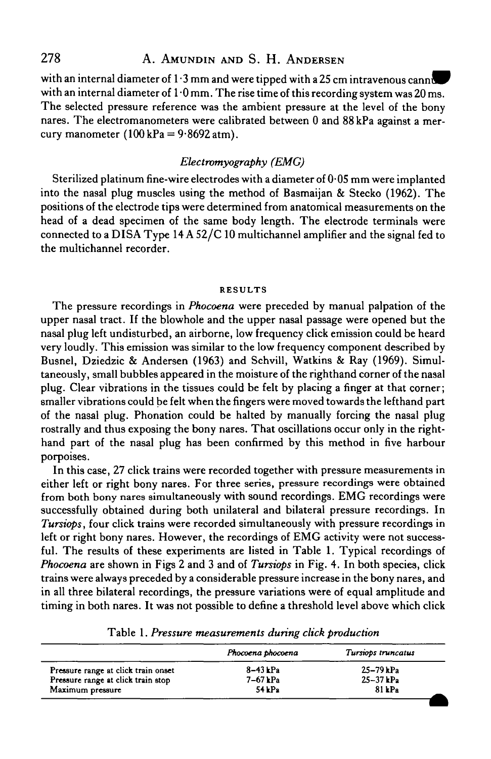with an internal diameter of  $1.3$  mm and were tipped with a 25 cm intravenous cannu with an internal diameter of  $1.0$  mm. The rise time of this recording system was 20 ms. The selected pressure reference was the ambient pressure at the level of the bony nares. The electromanometers were calibrated between 0 and 88kPa against a mercury manometer  $(100 \text{ kPa} = 9.8692 \text{ atm}).$ 

# *Electromyography (EMG)*

Sterilized platinum fine-wire electrodes with a diameter of 0-05 mm were implanted into the nasal plug muscles using the method of Basmaijan & Stecko (1962). The positions of the electrode tips were determined from anatomical measurements on the head of a dead specimen of the same body length. The electrode terminals were connected to a DISA Type 14 A 52/C 10 multichannel amplifier and the signal fed to the multichannel recorder.

## **RESULTS**

The pressure recordings in *Phocoena* were preceded by manual palpation of the upper nasal tract. If the blowhole and the upper nasal passage were opened but the nasal plug left undisturbed, an airborne, low frequency click emission could be heard very loudly. This emission was similar to the low frequency component described by Busnel, Dziedzic & Andersen (1963) and Schvill, Watkins & Ray (1969). Simultaneously, small bubbles appeared in the moisture of the righthand corner of the nasal plug. Clear vibrations in the tissues could be felt by placing a finger at that corner; smaller vibrations could be felt when the fingers were moved towards the lefthand part of the nasal plug. Phonation could be halted by manually forcing the nasal plug rostrally and thus exposing the bony nares. That oscillations occur only in the righthand part of the nasal plug has been confirmed by this method in five harbour porpoises.

In this case, 27 click trains were recorded together with pressure measurements in either left or right bony nares. For three series, pressure recordings were obtained from both bony nares simultaneously with sound recordings. EMG recordings were successfully obtained during both unilateral and bilateral pressure recordings. In *Tursiops,* four click trains were recorded simultaneously with pressure recordings in left or right bony nares. However, the recordings of EMG activity were not successful. The results of these experiments are listed in Table 1. Typical recordings of *Phocoena* are shown in Figs 2 and 3 and of *Tursiops* in Fig. 4. In both species, click trains were always preceded by a considerable pressure increase in the bony nares, and in all three bilateral recordings, the pressure variations were of equal amplitude and timing in both nares. It was not possible to define a threshold level above which click

| Phocoena phocoena | Tursiops truncatus |
|-------------------|--------------------|
| $8-43$ kPa        | $25 - 79$ kPa      |
| $7-67$ kPa        | $25 - 37$ kPa      |
| 54kPa             | $81$ kPa           |
|                   |                    |

Table 1. *Pressure measurements during click production*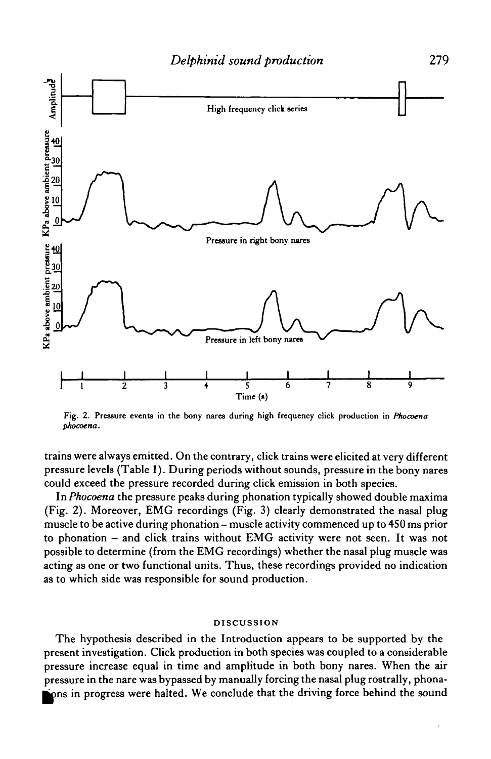

**Fig. 2. Pressure events in the bony nares during high frequency click production in** *Phocoena pkocoena.*

trains were always emitted. On the contrary, click trains were elicited at very different pressure levels (Table 1). During periods without sounds, pressure in the bony nares could exceed the pressure recorded during click emission in both species.

In *Phocoena* the pressure peaks during phonation typically showed double maxima (Fig. 2). Moreover, EMG recordings (Fig. 3) clearly demonstrated the nasal plug muscle to be active during phonation — muscle activity commenced up to 450 ms prior to phonation — and click trains without EMG activity were not seen. It was not possible to determine (from the EMG recordings) whether the nasal plug muscle was acting as one or two functional units. Thus, these recordings provided no indication as to which side was responsible for sound production.

## **DISCUSSION**

The hypothesis described in the Introduction appears to be supported by the present investigation. Click production in both species was coupled to a considerable pressure increase equal in time and amplitude in both bony nares. When the air pressure in the nare was bypassed by manually forcing the nasal plug rostrally, phonaions in progress were halted. We conclude that the driving force behind the sound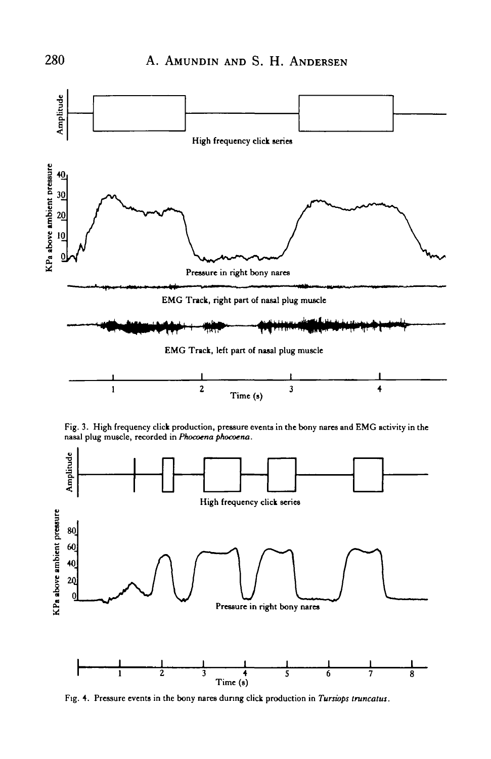





**Fig. 4. Pressure events in the bony nares during click production in** *Tursiops truncatus.*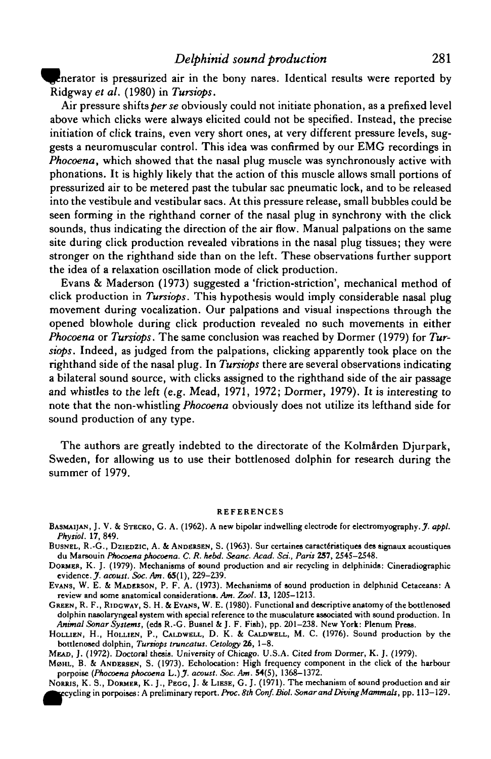**Enerator is pressurized air in the bony nares. Identical results were reported by** Ridgwayef *al.* (1980) in *Tursiops.*

Air pressure shifts *perse* obviously could not initiate phonation, as a prefixed level above which clicks were always elicited could not be specified. Instead, the precise initiation of click trains, even very short ones, at very different pressure levels, suggests a neuromuscular control. This idea was confirmed by our EMG recordings in *Phocoena,* which showed that the nasal plug muscle was synchronously active with phonations. It is highly likely that the action of this muscle allows small portions of pressurized air to be metered past the tubular sac pneumatic lock, and to be released into the vestibule and vestibular sacs. At this pressure release, small bubbles could be seen forming in the righthand corner of the nasal plug in synchrony with the click sounds, thus indicating the direction of the air flow. Manual palpations on the same site during click production revealed vibrations in the nasal plug tissues; they were stronger on the righthand side than on the left. These observations further support the idea of a relaxation oscillation mode of click production.

Evans & Maderson (1973) suggested a 'friction-striction', mechanical method of click production in *Tursiops.* This hypothesis would imply considerable nasal plug movement during vocalization. Our palpations and visual inspections through the opened blowhole during click production revealed no such movements in either *Phocoena* or *Tursiops.* The same conclusion was reached by Dormer (1979) for *Tursiops.* Indeed, as judged from the palpations, clicking apparently took place on the righthand side of the nasal plug. In *Tursiops* there are several observations indicating a bilateral sound source, with clicks assigned to the righthand side of the air passage and whistles to the left (e.g. Mead, 1971, 1972; Dormer, 1979). It is interesting to note that the non-whistling *Phocoena* obviously does not utilize its lefthand side for sound production of any type.

The authors are greatly indebted to the directorate of the Kolmarden Djurpark, Sweden, for allowing us to use their bottlenosed dolphin for research during the summer of 1979.

#### REFERENCES

- BASMAIJAN, J. V. & STECKO, G. A. (1962). A new bipolar indwelling electrode for electromyography. *J. appl. Phytiol.* 17, 849.
- BUSNEL, R.-G., DZIEDZIC, A. & ANDERSEN, S. (1963). Sur certaines caractéristiques des signaux acoustiques du Marsouin *Phocoena phocoena. C. R. hebd. Seanc. Acad. Set., Paris* 257, 2545-2548.
- DORMER, K. J. (1979). Mechanisms of sound production and air recycling in delphinids: Cineradiographic evidence. *J. acoust. Soc. Am.* 65(1), 229-239.
- EVANS, W. E. & MADERSON, P. F. A. (1973). Mechanisms of sound production in delphinid Cetaceans: A review and some anatomical considerations. An. *Zool.* 13, 1205—1213.
- GREEN, R. F., RIDGWAY, S. H. &EVAN9, W. E. (1980). Functional and descriptive anatomy of the bottlenosed dolphin nasolaryngeal system with special reference to the musculature associated with sound production. In *Animal Sonar Systems,* (eds R.-G. Busnel &J. F. Fish), pp. 201-238. New York: Plenum Press.
- HOLLIEN, H., HOLLIEN, P., CALDWELL, D. K. & CALDWELL, M. C. (1976). Sound production by the bottlenosed dolphin, Tursiops truncatus. Cetology 26, 1-8.

MEAD, J. (1972). Doctoral thesis. University of Chicago. U.S.A. Cited from Dormer, K. J. (1979).

MOHL, B. & ANDERSEN, S. (1973). Echolocation: High frequency component in the click of the harbour porpoise *(Phocoena phocoena L.)J. acoust. Soc. Am.* 54(5), 1368-1372.

NORRIS, K. S., DORMER, K. J., PEGG, J. & LIESE, G. J. (1971). The mechanism of sound production and air ycling in porpoises: A preliminary report. *Proc. 8th Conf. Biol. Sonar and Diving Mammals,* pp. 113-129.